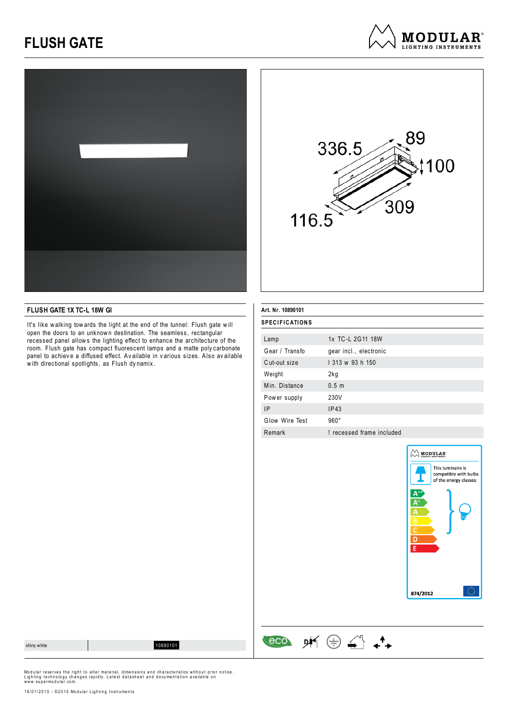# **FLUSH GATE**





**MODULAR**<sup>®</sup> LIGHTING INSTRUMENTS

### **FLUSH GATE 1X TC-L 18W GI**

It's like walking tow ards the light at the end of the tunnel: Flush gate will open the doors to an unknown destination. The seamless, rectangular recessed panel allow s the lighting effect to enhance the architecture of the room. Flush gate has compact fluorescent lamps and a matte poly carbonate panel to achiev e a diffused effect. Av ailable in v arious sizes. Also av ailable with directional spotlights, as Flush dynamix.

| Art. Nr. 10890101     |                           |  |  |
|-----------------------|---------------------------|--|--|
| <b>SPECIFICATIONS</b> |                           |  |  |
| Lamp                  | 1x TC-L 2G11 18W          |  |  |
| Gear / Transfo        | gear incl., electronic    |  |  |
| Cut-out size          | 1 313 w 93 h 150          |  |  |
| Weight                | 2kg                       |  |  |
| Min. Distance         | 0.5 <sub>m</sub>          |  |  |
| Power supply          | 230V                      |  |  |
| <b>IP</b>             | IP43                      |  |  |
| Glow Wire Test        | $960^\circ$               |  |  |
| Remark                | ! recessed frame included |  |  |

 $\begin{array}{ccccc}\n\text{eco} & \text{pK} & \oplus & \stackrel{\curvearrowleft}{\longleftarrow} & \stackrel{\blacklozenge}{\longleftarrow} \end{array}$ 



shiny white 10890101

Modular reserves the right to alter material, dimensions and characteristics without prior notice.<br>Lighting technology changes rapidly. Latest datasheet and documentation available on<br>www.supermodular.com.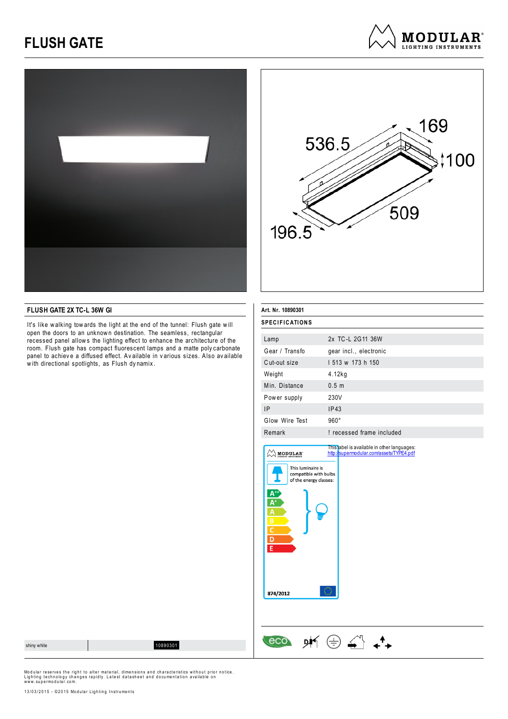# **FLUSH GATE**





#### **FLUSH GATE 2X TC-L 36W GI**

It's like walking tow ards the light at the end of the tunnel: Flush gate will open the doors to an unknown destination. The seamless, rectangular recessed panel allow s the lighting effect to enhance the architecture of the room. Flush gate has compact fluorescent lamps and a matte poly carbonate panel to achieve a diffused effect. Av ailable in v arious sizes. Also av ailable with directional spotlights, as Flush dynamix.

l.

| Art. Nr. 10890301                                                                                                                                   |                                                                                         |  |  |
|-----------------------------------------------------------------------------------------------------------------------------------------------------|-----------------------------------------------------------------------------------------|--|--|
| <b>SPECIFICATIONS</b>                                                                                                                               |                                                                                         |  |  |
| Lamp                                                                                                                                                | 2x TC-L 2G11 36W                                                                        |  |  |
| Gear / Transfo                                                                                                                                      | gear incl., electronic                                                                  |  |  |
| Cut-out size                                                                                                                                        | 1513 w 173 h 150                                                                        |  |  |
| Weight                                                                                                                                              | 4.12kg                                                                                  |  |  |
| Min. Distance                                                                                                                                       | 0.5 <sub>m</sub>                                                                        |  |  |
| Power supply                                                                                                                                        | 230V                                                                                    |  |  |
| IP                                                                                                                                                  | IP43                                                                                    |  |  |
| Glow Wire Test                                                                                                                                      | $960^\circ$                                                                             |  |  |
| Remark                                                                                                                                              | ! recessed frame included                                                               |  |  |
| MODULAR'<br>This luminaire is<br>compatible with bulbs<br>of the energy classes:<br>$\frac{\mathsf{B}}{\mathsf{C}}$ $\frac{\mathsf{D}}{\mathsf{E}}$ | This label is available in other languages:<br>http://supermodular.com/assets/TYPE4.pdf |  |  |
| 874/2012                                                                                                                                            |                                                                                         |  |  |
|                                                                                                                                                     |                                                                                         |  |  |

 $M\oplus A$ 

eco

Modular reserves the right to alter material, dimensions and characteristics without prior notice.<br>Lighting technology changes rapidly. Latest datasheet and documentation available on<br>www.supermodular.com.

13/03/2015 - ©2015 Modular Lighting Instruments



shiny white 10890301